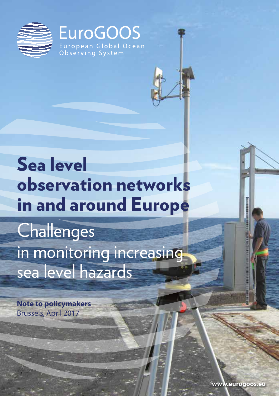

## Sea level observation networks in and around Europe **Challenges**

in monitoring increasing sea level hazards

**Note to policymakers** Brussels, April 2017

**www.eurogoos.eu**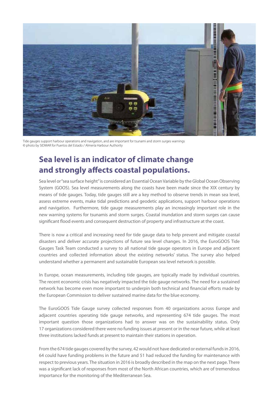

Tide gauges support harbour operations and navigation, and are important for tsunami and storm surges warnings © photo by SIDMAR for Puertos del Estado / Almería Harbour Authority

## **Sea level is an indicator of climate change and strongly affects coastal populations.**

Sea level or "sea surface height" is considered an Essential Ocean Variable by the Global Ocean Observing System (GOOS). Sea level measurements along the coasts have been made since the XIX century by means of tide gauges. Today, tide gauges still are a key method to observe trends in mean sea level, assess extreme events, make tidal predictions and geodetic applications, support harbour operations and navigation. Furthermore, tide gauge measurements play an increasingly important role in the new warning systems for tsunamis and storm surges. Coastal inundation and storm surges can cause significant flood events and consequent destruction of property and infrastructure at the coast.

There is now a critical and increasing need for tide gauge data to help prevent and mitigate coastal disasters and deliver accurate projections of future sea level changes. In 2016, the EuroGOOS Tide Gauges Task Team conducted a survey to all national tide gauge operators in Europe and adjacent countries and collected information about the existing networks' status. The survey also helped understand whether a permanent and sustainable European sea level network is possible.

In Europe, ocean measurements, including tide gauges, are typically made by individual countries. The recent economic crisis has negatively impacted the tide gauge networks. The need for a sustained network has become even more important to underpin both technical and financial efforts made by the European Commission to deliver sustained marine data for the blue economy.

The EuroGOOS Tide Gauge survey collected responses from 40 organizations across Europe and adjacent countries operating tide gauge networks, and representing 674 tide gauges. The most important question those organizations had to answer was on the sustainability status. Only 17 organizations considered there were no funding issues at present or in the near future, while at least three institutions lacked funds at present to maintain their stations in operation.

From the 674 tide gauges covered by the survey, 42 would not have dedicated or external funds in 2016, 64 could have funding problems in the future and 51 had reduced the funding for maintenance with respect to previous years. The situation in 2016 is broadly described in the map on the next page. There was a significant lack of responses from most of the North African countries, which are of tremendous importance for the monitoring of the Mediterranean Sea.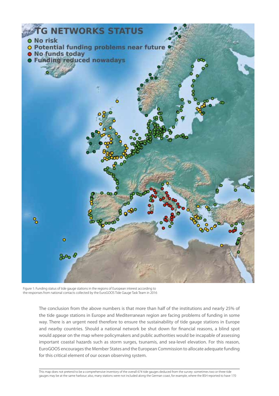

Figure 1: Funding status of tide gauge stations in the regions of European interest according to the responses from national contacts collected by the EuroGOOS Tide Gauge Task Team in 2016

The conclusion from the above numbers is that more than half of the institutions and nearly 25% of the tide gauge stations in Europe and Mediterranean region are facing problems of funding in some way. There is an urgent need therefore to ensure the sustainability of tide gauge stations in Europe and nearby countries. Should a national network be shut down for financial reasons, a blind spot would appear on the map where policymakers and public authorities would be incapable of assessing important coastal hazards such as storm surges, tsunamis, and sea-level elevation. For this reason, EuroGOOS encourages the Member States and the European Commission to allocate adequate funding for this critical element of our ocean observing system.

This map does not pretend to be a comprehensive inventory of the overall 674 tide gauges deduced from the survey: sometimes two or three tide gauges may be at the same harbour; also, many stations were not included along the German coast, for example, where the BSH reported to have 170